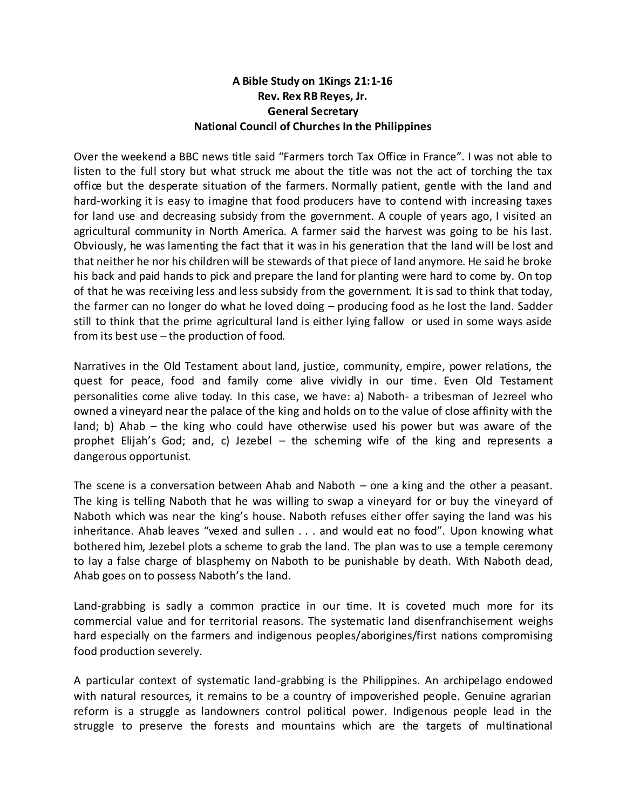## **A Bible Study on 1Kings 21:1-16 Rev. Rex RB Reyes, Jr. General Secretary National Council of Churches In the Philippines**

Over the weekend a BBC news title said "Farmers torch Tax Office in France". I was not able to listen to the full story but what struck me about the title was not the act of torching the tax office but the desperate situation of the farmers. Normally patient, gentle with the land and hard-working it is easy to imagine that food producers have to contend with increasing taxes for land use and decreasing subsidy from the government. A couple of years ago, I visited an agricultural community in North America. A farmer said the harvest was going to be his last. Obviously, he was lamenting the fact that it was in his generation that the land will be lost and that neither he nor his children will be stewards of that piece of land anymore. He said he broke his back and paid hands to pick and prepare the land for planting were hard to come by. On top of that he was receiving less and less subsidy from the government. It is sad to think that today, the farmer can no longer do what he loved doing – producing food as he lost the land. Sadder still to think that the prime agricultural land is either lying fallow or used in some ways aside from its best use – the production of food.

Narratives in the Old Testament about land, justice, community, empire, power relations, the quest for peace, food and family come alive vividly in our time. Even Old Testament personalities come alive today. In this case, we have: a) Naboth- a tribesman of Jezreel who owned a vineyard near the palace of the king and holds on to the value of close affinity with the land; b) Ahab – the king who could have otherwise used his power but was aware of the prophet Elijah's God; and, c) Jezebel – the scheming wife of the king and represents a dangerous opportunist.

The scene is a conversation between Ahab and Naboth – one a king and the other a peasant. The king is telling Naboth that he was willing to swap a vineyard for or buy the vineyard of Naboth which was near the king's house. Naboth refuses either offer saying the land was his inheritance. Ahab leaves "vexed and sullen . . . and would eat no food". Upon knowing what bothered him, Jezebel plots a scheme to grab the land. The plan was to use a temple ceremony to lay a false charge of blasphemy on Naboth to be punishable by death. With Naboth dead, Ahab goes on to possess Naboth's the land.

Land-grabbing is sadly a common practice in our time. It is coveted much more for its commercial value and for territorial reasons. The systematic land disenfranchisement weighs hard especially on the farmers and indigenous peoples/aborigines/first nations compromising food production severely.

A particular context of systematic land-grabbing is the Philippines. An archipelago endowed with natural resources, it remains to be a country of impoverished people. Genuine agrarian reform is a struggle as landowners control political power. Indigenous people lead in the struggle to preserve the forests and mountains which are the targets of multinational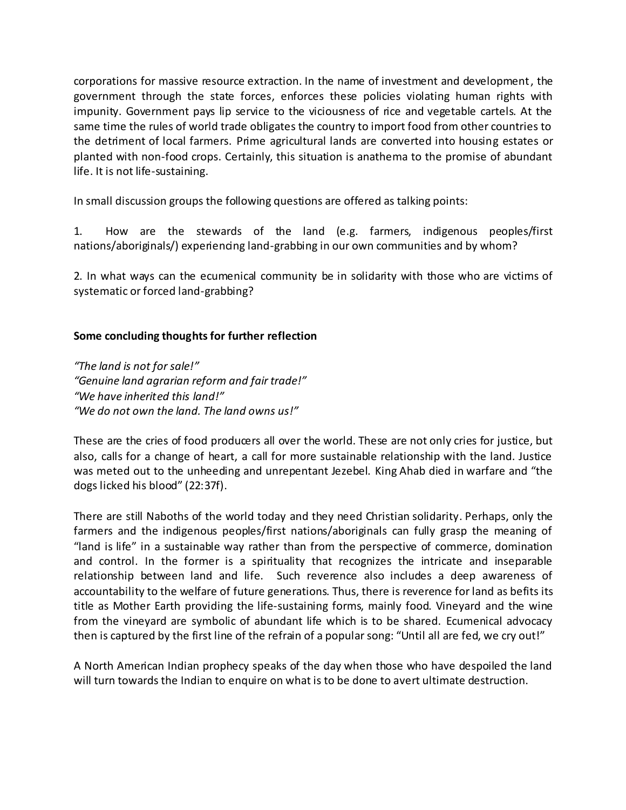corporations for massive resource extraction. In the name of investment and development, the government through the state forces, enforces these policies violating human rights with impunity. Government pays lip service to the viciousness of rice and vegetable cartels. At the same time the rules of world trade obligates the country to import food from other countries to the detriment of local farmers. Prime agricultural lands are converted into housing estates or planted with non-food crops. Certainly, this situation is anathema to the promise of abundant life. It is not life-sustaining.

In small discussion groups the following questions are offered as talking points:

1. How are the stewards of the land (e.g. farmers, indigenous peoples/first nations/aboriginals/) experiencing land-grabbing in our own communities and by whom?

2. In what ways can the ecumenical community be in solidarity with those who are victims of systematic or forced land-grabbing?

## **Some concluding thoughts for further reflection**

*"The land is not for sale!" "Genuine land agrarian reform and fair trade!" "We have inherited this land!" "We do not own the land. The land owns us!"*

These are the cries of food producers all over the world. These are not only cries for justice, but also, calls for a change of heart, a call for more sustainable relationship with the land. Justice was meted out to the unheeding and unrepentant Jezebel. King Ahab died in warfare and "the dogs licked his blood" (22:37f).

There are still Naboths of the world today and they need Christian solidarity. Perhaps, only the farmers and the indigenous peoples/first nations/aboriginals can fully grasp the meaning of "land is life" in a sustainable way rather than from the perspective of commerce, domination and control. In the former is a spirituality that recognizes the intricate and inseparable relationship between land and life. Such reverence also includes a deep awareness of accountability to the welfare of future generations. Thus, there is reverence for land as befits its title as Mother Earth providing the life-sustaining forms, mainly food. Vineyard and the wine from the vineyard are symbolic of abundant life which is to be shared. Ecumenical advocacy then is captured by the first line of the refrain of a popular song: "Until all are fed, we cry out!"

A North American Indian prophecy speaks of the day when those who have despoiled the land will turn towards the Indian to enquire on what is to be done to avert ultimate destruction.